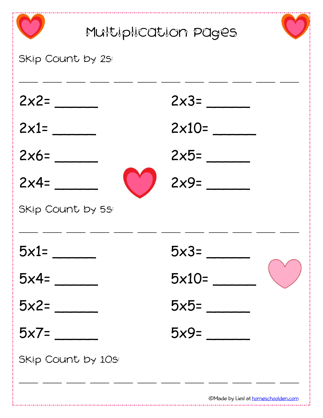| Multiplication pages |                                     |  |
|----------------------|-------------------------------------|--|
| Skip Count by 2S:    |                                     |  |
| $2x2=$               | $2x3=$                              |  |
| $2x1=$               | $2\times10=$                        |  |
| $2x6=$               | $2\times 5=$                        |  |
| $2x4=$               | $2x9=$                              |  |
| Skip Count by 5s:    |                                     |  |
| $5x1=$               | $5x3=$                              |  |
| $5x4=$               | $5x10=$                             |  |
| $5x2=$               | $5x5=$                              |  |
| $5x7=$               | $5x9=$                              |  |
| Skip Count by 10s:   |                                     |  |
|                      | ©Made by Liesl at homeschoolden.com |  |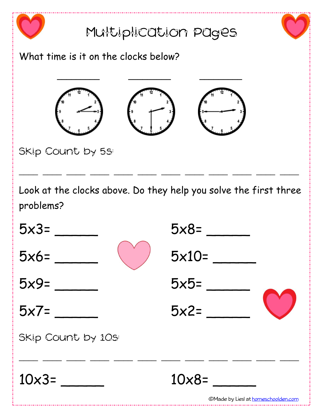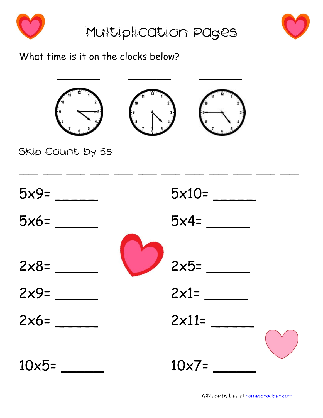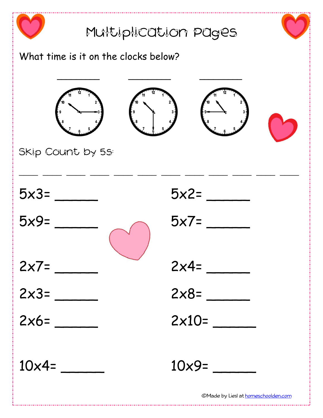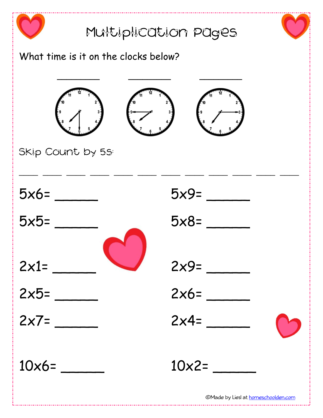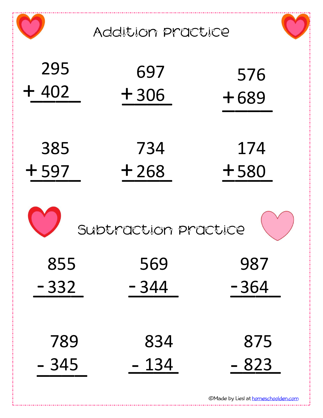|               | Addition practice    |               |
|---------------|----------------------|---------------|
| 295           | 697                  | 576           |
| $+402$        | $+306$               | $+689$        |
| 385           | 734                  | 174           |
| $+597$        | $+268$               | $+580$        |
|               | Subtraction practice |               |
| 855           | 569                  | 987           |
| $-332$        | $-344$               | $-364$        |
|               |                      |               |
| 789<br>$-345$ | 834<br>- 134         | 875<br>$-823$ |

\_\_

\_\_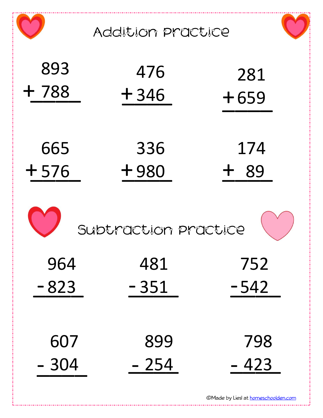Addition Practice

| 893    | 476    | 281    |
|--------|--------|--------|
| $+788$ | $+346$ | $+659$ |
| 665    | 336    | 174    |
| $+576$ | $+980$ | 89     |



| 964    | 481    | 752    |
|--------|--------|--------|
| $-823$ | $-351$ | $-542$ |
|        |        |        |
| 607    | 899    | 798    |
| $-304$ | - 254  | $-423$ |

\_\_

\_\_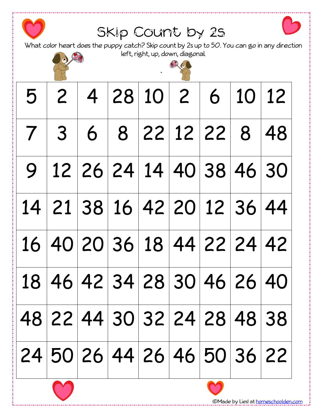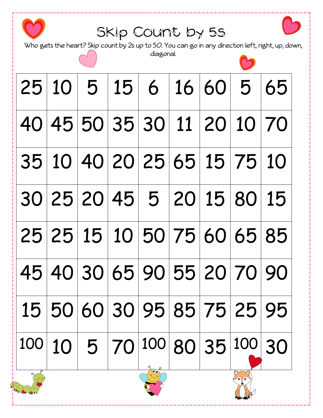